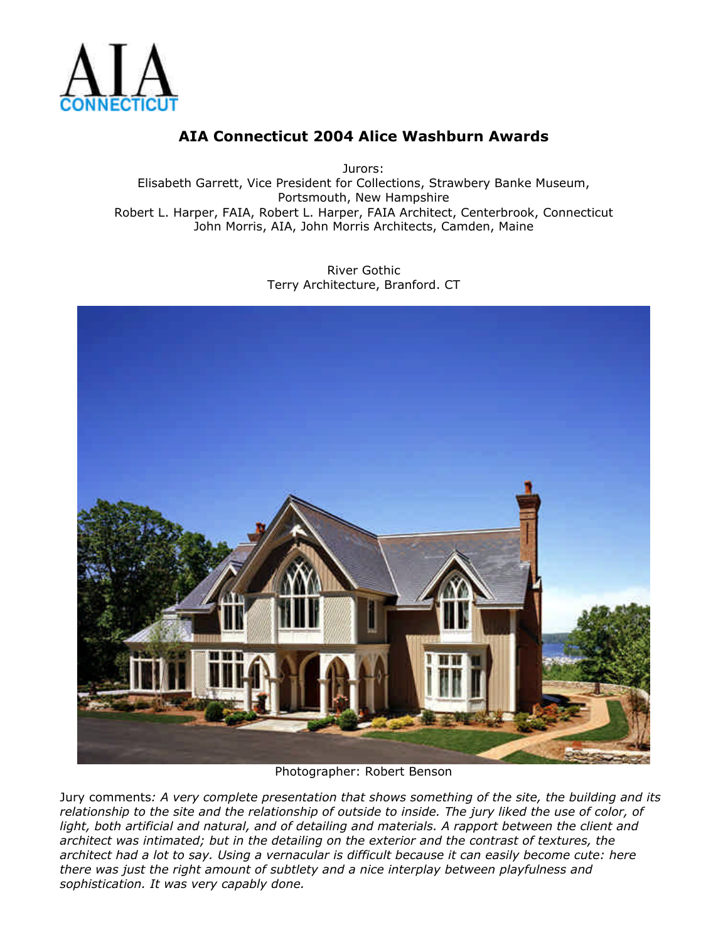

Jurors: Elisabeth Garrett, Vice President for Collections, Strawbery Banke Museum, Portsmouth, New Hampshire Robert L. Harper, FAIA, Robert L. Harper, FAIA Architect, Centerbrook, Connecticut John Morris, AIA, John Morris Architects, Camden, Maine

> River Gothic Terry Architecture, Branford. CT



Photographer: Robert Benson

Jury comments*: A very complete presentation that shows something of the site, the building and its relationship to the site and the relationship of outside to inside. The jury liked the use of color, of light, both artificial and natural, and of detailing and materials. A rapport between the client and architect was intimated; but in the detailing on the exterior and the contrast of textures, the architect had a lot to say. Using a vernacular is difficult because it can easily become cute: here there was just the right amount of subtlety and a nice interplay between playfulness and sophistication. It was very capably done.*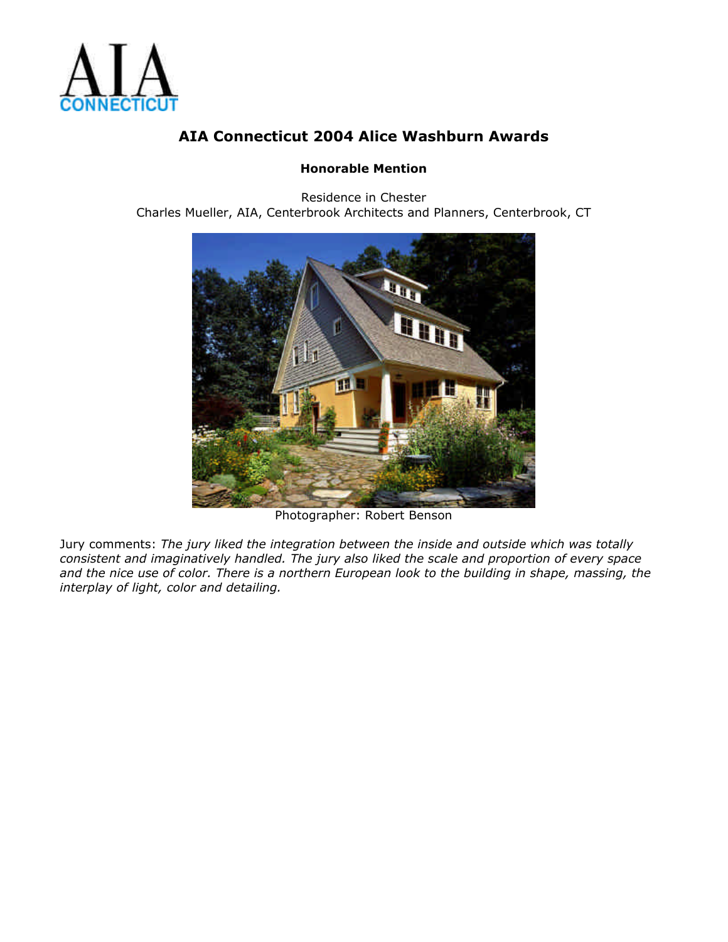

### **Honorable Mention**

Residence in Chester Charles Mueller, AIA, Centerbrook Architects and Planners, Centerbrook, CT



Photographer: Robert Benson

Jury comments: *The jury liked the integration between the inside and outside which was totally consistent and imaginatively handled. The jury also liked the scale and proportion of every space and the nice use of color. There is a northern European look to the building in shape, massing, the interplay of light, color and detailing.*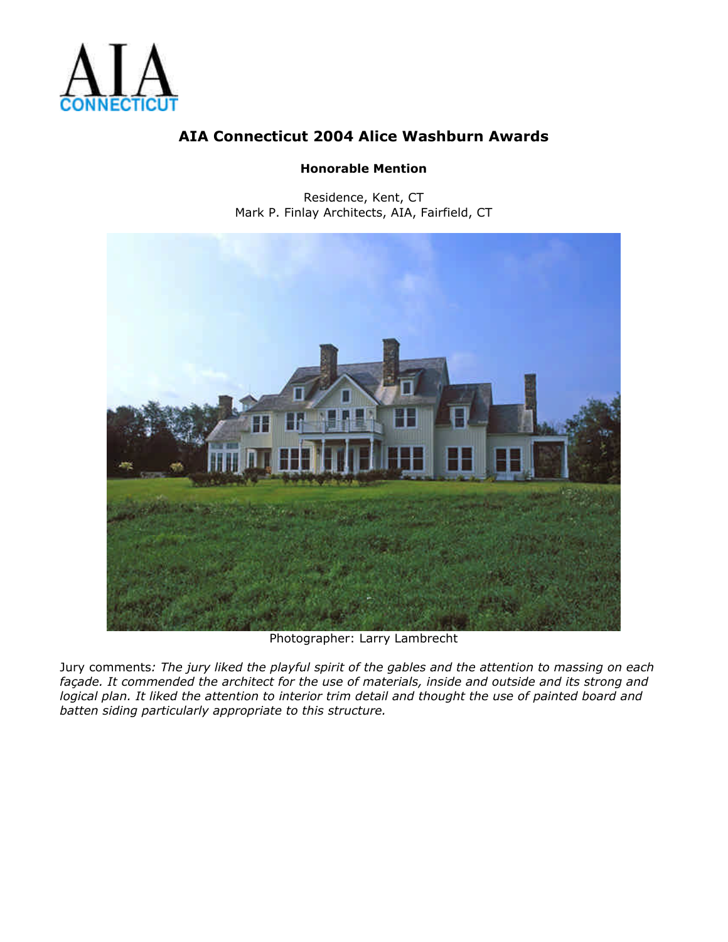

### **Honorable Mention**

Residence, Kent, CT Mark P. Finlay Architects, AIA, Fairfield, CT



Photographer: Larry Lambrecht

Jury comments*: The jury liked the playful spirit of the gables and the attention to massing on each façade. It commended the architect for the use of materials, inside and outside and its strong and logical plan. It liked the attention to interior trim detail and thought the use of painted board and batten siding particularly appropriate to this structure.*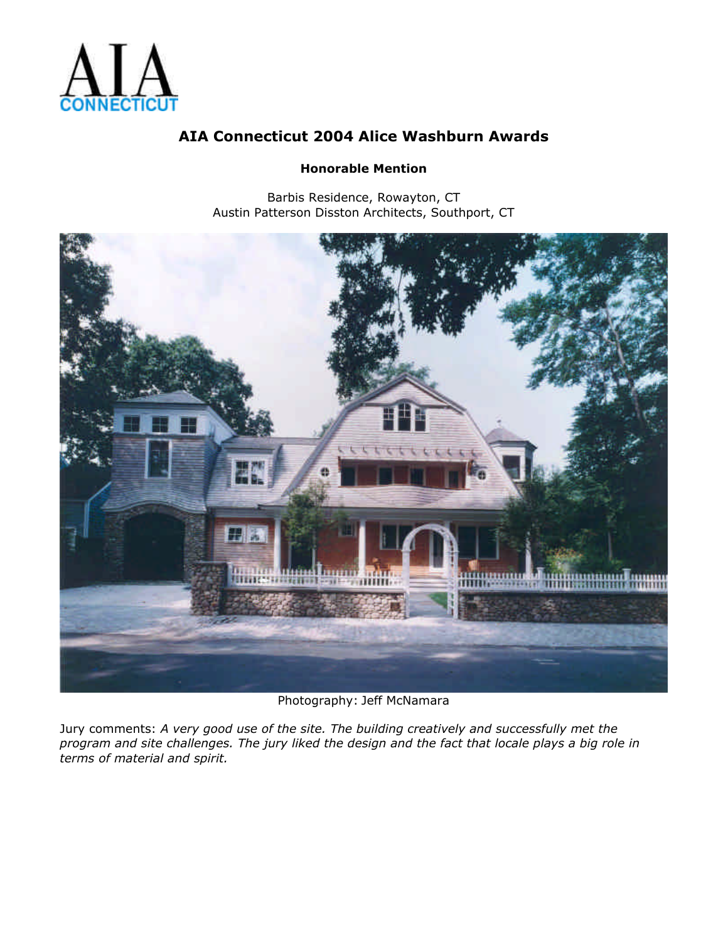

#### **Honorable Mention**

Barbis Residence, Rowayton, CT Austin Patterson Disston Architects, Southport, CT



Photography: Jeff McNamara

Jury comments: *A very good use of the site. The building creatively and successfully met the program and site challenges. The jury liked the design and the fact that locale plays a big role in terms of material and spirit.*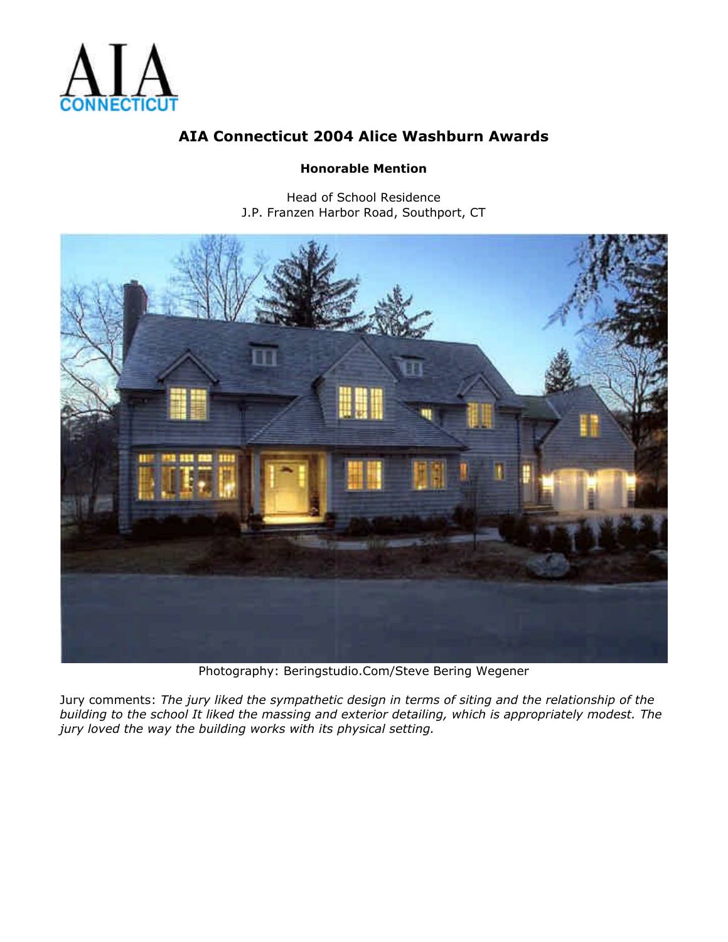

### **Honorable Mention**

Head of School Residence J.P. Franzen Harbor Road, Southport, CT



Photography: Beringstudio.Com/Steve Bering Wegener

Jury comments: *The jury liked the sympathetic design in terms of siting and the relationship of the building to the school It liked the massing and exterior detailing, which is appropriately modest. The jury loved the way the building works with its physical setting.*